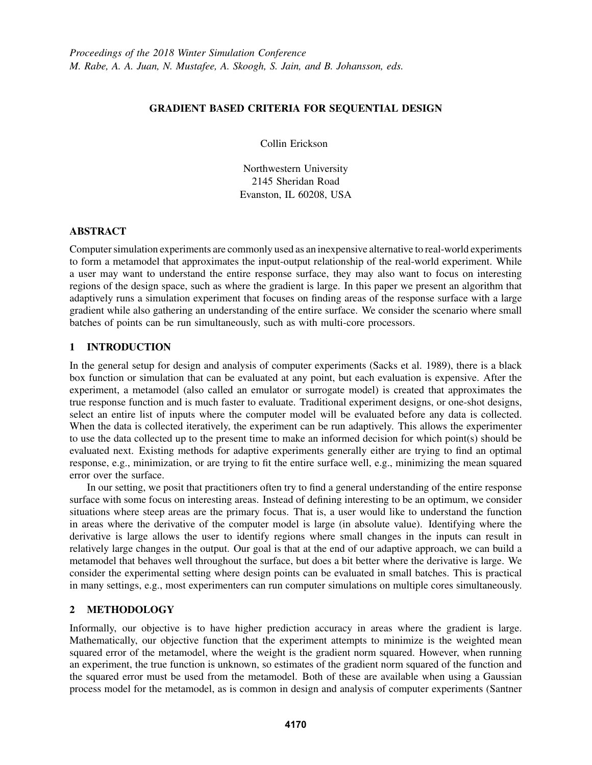## GRADIENT BASED CRITERIA FOR SEQUENTIAL DESIGN

Collin Erickson

Northwestern University 2145 Sheridan Road Evanston, IL 60208, USA

# ABSTRACT

Computer simulation experiments are commonly used as an inexpensive alternative to real-world experiments to form a metamodel that approximates the input-output relationship of the real-world experiment. While a user may want to understand the entire response surface, they may also want to focus on interesting regions of the design space, such as where the gradient is large. In this paper we present an algorithm that adaptively runs a simulation experiment that focuses on finding areas of the response surface with a large gradient while also gathering an understanding of the entire surface. We consider the scenario where small batches of points can be run simultaneously, such as with multi-core processors.

# 1 INTRODUCTION

In the general setup for design and analysis of computer experiments (Sacks et al. 1989), there is a black box function or simulation that can be evaluated at any point, but each evaluation is expensive. After the experiment, a metamodel (also called an emulator or surrogate model) is created that approximates the true response function and is much faster to evaluate. Traditional experiment designs, or one-shot designs, select an entire list of inputs where the computer model will be evaluated before any data is collected. When the data is collected iteratively, the experiment can be run adaptively. This allows the experimenter to use the data collected up to the present time to make an informed decision for which point(s) should be evaluated next. Existing methods for adaptive experiments generally either are trying to find an optimal response, e.g., minimization, or are trying to fit the entire surface well, e.g., minimizing the mean squared error over the surface.

In our setting, we posit that practitioners often try to find a general understanding of the entire response surface with some focus on interesting areas. Instead of defining interesting to be an optimum, we consider situations where steep areas are the primary focus. That is, a user would like to understand the function in areas where the derivative of the computer model is large (in absolute value). Identifying where the derivative is large allows the user to identify regions where small changes in the inputs can result in relatively large changes in the output. Our goal is that at the end of our adaptive approach, we can build a metamodel that behaves well throughout the surface, but does a bit better where the derivative is large. We consider the experimental setting where design points can be evaluated in small batches. This is practical in many settings, e.g., most experimenters can run computer simulations on multiple cores simultaneously.

### 2 METHODOLOGY

Informally, our objective is to have higher prediction accuracy in areas where the gradient is large. Mathematically, our objective function that the experiment attempts to minimize is the weighted mean squared error of the metamodel, where the weight is the gradient norm squared. However, when running an experiment, the true function is unknown, so estimates of the gradient norm squared of the function and the squared error must be used from the metamodel. Both of these are available when using a Gaussian process model for the metamodel, as is common in design and analysis of computer experiments (Santner